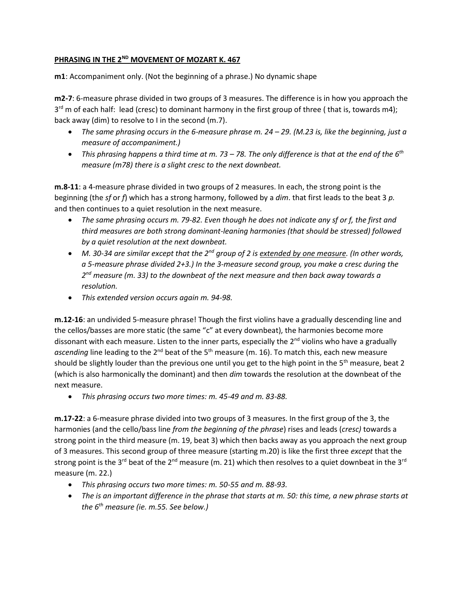## PHRASING IN THE 2<sup>ND</sup> MOVEMENT OF MOZART K. 467

**m1**: Accompaniment only. (Not the beginning of a phrase.) No dynamic shape

**m2-7**: 6-measure phrase divided in two groups of 3 measures. The difference is in how you approach the 3<sup>rd</sup> m of each half: lead (cresc) to dominant harmony in the first group of three (that is, towards m4); back away (dim) to resolve to I in the second (m.7).

- *The same phrasing occurs in the 6-measure phrase m. 24 – 29. (M.23 is, like the beginning, just a measure of accompaniment.)*
- *This phrasing happens a third time at m. 73 – 78. The only difference is that at the end of the 6th measure (m78) there is a slight cresc to the next downbeat.*

**m.8-11**: a 4-measure phrase divided in two groups of 2 measures. In each, the strong point is the beginning (the *sf* or *f*) which has a strong harmony, followed by a *dim*. that first leads to the beat 3 *p.* and then continues to a quiet resolution in the next measure.

- *The same phrasing occurs m. 79-82. Even though he does not indicate any sf or f, the first and third measures are both strong dominant-leaning harmonies (that should be stressed) followed by a quiet resolution at the next downbeat.*
- *M. 30-34 are similar except that the 2nd group of 2 is extended by one measure. (In other words, a 5-measure phrase divided 2+3.) In the 3-measure second group, you make a cresc during the 2 nd measure (m. 33) to the downbeat of the next measure and then back away towards a resolution.*
- *This extended version occurs again m. 94-98.*

**m.12-16**: an undivided 5-measure phrase! Though the first violins have a gradually descending line and the cellos/basses are more static (the same "c" at every downbeat), the harmonies become more dissonant with each measure. Listen to the inner parts, especially the 2<sup>nd</sup> violins who have a gradually ascending line leading to the 2<sup>nd</sup> beat of the 5<sup>th</sup> measure (m. 16). To match this, each new measure should be slightly louder than the previous one until you get to the high point in the 5<sup>th</sup> measure, beat 2 (which is also harmonically the dominant) and then *dim* towards the resolution at the downbeat of the next measure.

• *This phrasing occurs two more times: m. 45-49 and m. 83-88.*

**m.17-22**: a 6-measure phrase divided into two groups of 3 measures. In the first group of the 3, the harmonies (and the cello/bass line *from the beginning of the phrase*) rises and leads (*cresc)* towards a strong point in the third measure (m. 19, beat 3) which then backs away as you approach the next group of 3 measures. This second group of three measure (starting m.20) is like the first three *except* that the strong point is the 3<sup>rd</sup> beat of the 2<sup>nd</sup> measure (m. 21) which then resolves to a quiet downbeat in the 3<sup>rd</sup> measure (m. 22.)

- *This phrasing occurs two more times: m. 50-55 and m. 88-93.*
- *The is an important difference in the phrase that starts at m. 50: this time, a new phrase starts at the 6th measure (ie. m.55. See below.)*